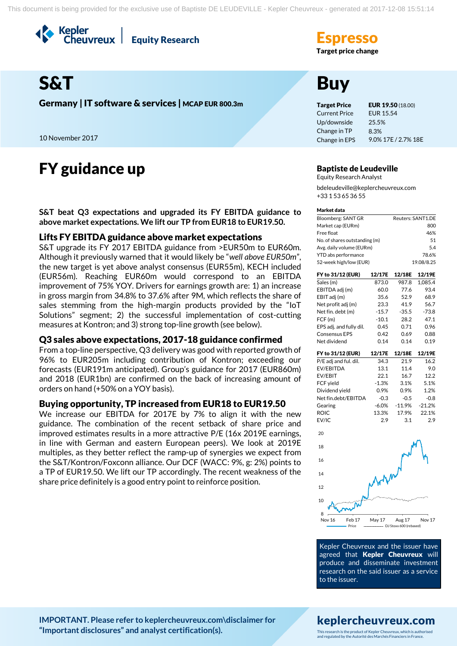Kepler<br>Cheuvreux **Equity Research** 

Target price change

# S&T Buy

Germany | IT software & services | MCAP EUR 800.3m Target Price EUR 19.50 (18.00)

10 November 2017

# FY guidance up **Baptiste de Leudeville**

**S&T beat Q3 expectations and upgraded its FY EBITDA guidance to above market expectations. We lift our TP from EUR18 to EUR19.50.**

# Lifts FY EBITDA guidance above market expectations

S&T upgrade its FY 2017 EBITDA guidance from >EUR50m to EUR60m. Although it previously warned that it would likely be "*well above EUR50m*", the new target is yet above analyst consensus (EUR55m), KECH included (EUR56m). Reaching EUR60m would correspond to an EBITDA improvement of 75% YOY. Drivers for earnings growth are: 1) an increase in gross margin from 34.8% to 37.6% after 9M, which reflects the share of sales stemming from the high-margin products provided by the "IoT Solutions" segment; 2) the successful implementation of cost-cutting measures at Kontron; and 3) strong top-line growth (see below).

# Q3 sales above expectations, 2017-18 guidance confirmed

From a top-line perspective, Q3 delivery was good with reported growth of 96% to EUR205m including contribution of Kontron; exceeding our forecasts (EUR191m anticipated). Group's guidance for 2017 (EUR860m) and 2018 (EUR1bn) are confirmed on the back of increasing amount of orders on hand (+50% on a YOY basis).

# Buying opportunity, TP increased from EUR18 to EUR19.50

We increase our EBITDA for 2017E by 7% to align it with the new guidance. The combination of the recent setback of share price and improved estimates results in a more attractive P/E (16x 2019E earnings, in line with German and eastern European peers). We look at 2019E multiples, as they better reflect the ramp-up of synergies we expect from the S&T/Kontron/Foxconn alliance. Our DCF (WACC: 9%, g: 2%) points to a TP of EUR19.50. We lift our TP accordingly. The recent weakness of the share price definitely is a good entry point to reinforce position.

Current Price Up/downside Change in TP Change in EPS EUR 15.54 25.5% 8.3% 9.0% 17E / 2.7% 18E

Equity Research Analyst bdeleudeville@keplercheuvreux.com +33 1 53 65 36 55

#### Market data

| Reuters: SANT1.DE |
|-------------------|
| 800               |
| 46%               |
| 51                |
| 54                |
| 78.6%             |
| 19.08/8.25        |
|                   |

| FY to 31/12 (EUR)       | 12/17E  | 12/18E   | 12/19E   |
|-------------------------|---------|----------|----------|
| Sales (m)               | 873.0   | 987.8    | 1.085.4  |
| EBITDA adj (m)          | 60.0    | 77.6     | 93.4     |
| EBIT adj (m)            | 35.6    | 52.9     | 68.9     |
| Net profit adj (m)      | 23.3    | 41.9     | 56.7     |
| Net fin. debt (m)       | $-15.7$ | $-35.5$  | $-73.8$  |
| FCF (m)                 | $-10.1$ | 28.2     | 47.1     |
| EPS adj. and fully dil. | 0.45    | 0.71     | 0.96     |
| <b>Consensus EPS</b>    | 0.42    | 0.69     | 0.88     |
| Net dividend            | 0.14    | 0.14     | 0.19     |
| FY to 31/12 (EUR)       | 12/17E  | 12/18E   | 12/19E   |
| P/E adj and ful. dil.   | 34.3    | 21.9     | 16.2     |
| EV/EBITDA               | 13.1    | 11.4     | 9.0      |
| EV/EBIT                 | 22.1    | 16.7     | 12.2     |
| FCF yield               | $-1.3%$ | 3.1%     | 5.1%     |
| Dividend yield          | 0.9%    | 0.9%     | 1.2%     |
| Net fin.debt/EBITDA     | $-0.3$  | $-0.5$   | $-0.8$   |
| Gearing                 | $-6.0%$ | $-11.9%$ | $-21.2%$ |



ROIC 13.3% 17.9% 22.1% EV/IC 2.9 3.1 2.9

Kepler Cheuvreux and the issuer have agreed that Kepler Cheuvreux will produce and disseminate investment research on the said issuer as a service to the issuer.

## **[IMPORTANT. Please refer to keplercheuvreux.com\disclaimer for](https://research.keplercheuvreux.com/ResearchCenter.aspx#/Disclosure)  ["Important disclosures" and analyst certification\(s\).](https://research.keplercheuvreux.com/ResearchCenter.aspx#/Disclosure)**

# keplercheuvreux.com

This research is the product of Kepler Cheuvreux, which is authorised and regulated by the Autorité des Marchés Financiers in France.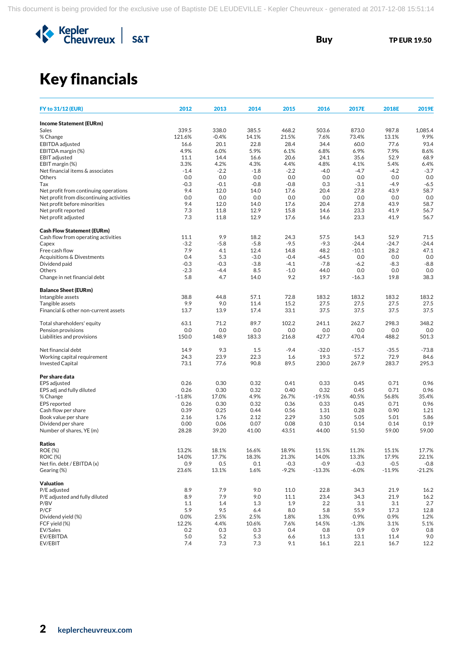

# Key financials

| <b>Income Statement (EURm)</b><br>339.5<br>338.0<br>385.5<br>468.2<br>503.6<br>873.0<br>987.8<br>1,085.4<br>Sales<br>121.6%<br>$-0.4%$<br>14.1%<br>21.5%<br>7.6%<br>73.4%<br>13.1%<br>9.9%<br>% Change<br>93.4<br>EBITDA adjusted<br>16.6<br>20.1<br>22.8<br>28.4<br>34.4<br>60.0<br>77.6<br>4.9%<br>6.0%<br>5.9%<br>6.1%<br>6.8%<br>6.9%<br>7.9%<br>8.6%<br>EBITDA margin (%)<br><b>EBIT</b> adjusted<br>20.6<br>35.6<br>52.9<br>68.9<br>11.1<br>14.4<br>16.6<br>24.1<br>3.3%<br>4.3%<br>5.4%<br>EBIT margin (%)<br>4.2%<br>4.4%<br>4.8%<br>4.1%<br>6.4%<br>Net financial items & associates<br>$-1.4$<br>$-2.2$<br>$-4.2$<br>$-3.7$<br>$-2.2$<br>$-1.8$<br>$-4.0$<br>$-4.7$<br>0.0<br>0.0<br>0.0<br>0.0<br>0.0<br>0.0<br>0.0<br>0.0<br>Others<br>$-0.3$<br>$-0.8$<br>$-0.8$<br>0.3<br>$-4.9$<br>$-6.5$<br>Tax<br>$-0.1$<br>$-3.1$<br>9.4<br>12.0<br>14.0<br>20.4<br>27.8<br>43.9<br>58.7<br>Net profit from continuing operations<br>17.6<br>0.0<br>Net profit from discontinuing activities<br>0.0<br>0.0<br>0.0<br>0.0<br>0.0<br>0.0<br>0.0<br>9.4<br>12.0<br>14.0<br>17.6<br>20.4<br>27.8<br>43.9<br>58.7<br>Net profit before minorities<br>Net profit reported<br>7.3<br>11.8<br>12.9<br>15.8<br>14.6<br>23.3<br>41.9<br>56.7<br>Net profit adjusted<br>7.3<br>12.9<br>17.6<br>23.3<br>41.9<br>56.7<br>11.8<br>14.6<br><b>Cash Flow Statement (EURm)</b><br>11.1<br>9.9<br>18.2<br>24.3<br>57.5<br>14.3<br>52.9<br>71.5<br>Cash flow from operating activities<br>$-3.2$<br>$-5.8$<br>$-5.8$<br>$-9.5$<br>$-9.3$<br>$-24.4$<br>$-24.7$<br>$-24.4$<br>Capex<br>Free cash flow<br>7.9<br>12.4<br>48.2<br>$-10.1$<br>28.2<br>47.1<br>4.1<br>14.8<br>Acquisitions & Divestments<br>0.4<br>5.3<br>$-3.0$<br>$-0.4$<br>$-64.5$<br>0.0<br>0.0<br>0.0<br>$-0.3$<br>$-0.3$<br>$-3.8$<br>$-4.1$<br>$-7.8$<br>$-6.2$<br>$-8.3$<br>$-8.8$<br>Dividend paid<br>$-2.3$<br>$-4.4$<br>8.5<br>$-1.0$<br>44.0<br>0.0<br>0.0<br>0.0<br>Others<br>5.8<br>4.7<br>14.0<br>9.2<br>19.7<br>38.3<br>Change in net financial debt<br>$-16.3$<br>19.8<br><b>Balance Sheet (EURm)</b><br>38.8<br>44.8<br>57.1<br>72.8<br>183.2<br>183.2<br>183.2<br>183.2<br>Intangible assets<br>Tangible assets<br>9.9<br>9.0<br>11.4<br>15.2<br>27.5<br>27.5<br>27.5<br>27.5<br>37.5<br>Financial & other non-current assets<br>17.4<br>33.1<br>37.5<br>37.5<br>37.5<br>13.7<br>13.9<br>298.3<br>348.2<br>63.1<br>71.2<br>89.7<br>102.2<br>241.1<br>262.7<br>Total shareholders' equity<br>0.0<br>0.0<br>0.0<br>0.0<br>0.0<br>0.0<br>0.0<br>Pension provisions<br>0.0<br>501.3<br>Liabilities and provisions<br>150.0<br>148.9<br>183.3<br>216.8<br>427.7<br>470.4<br>488.2<br>14.9<br>9.3<br>1.5<br>$-9.4$<br>$-32.0$<br>$-15.7$<br>$-35.5$<br>$-73.8$<br>Net financial debt<br>24.3<br>23.9<br>22.3<br>19.3<br>57.2<br>72.9<br>84.6<br>Working capital requirement<br>1.6<br><b>Invested Capital</b><br>73.1<br>77.6<br>90.8<br>89.5<br>230.0<br>267.9<br>283.7<br>295.3<br>Per share data<br>0.26<br>0.30<br>0.32<br>0.41<br>0.33<br>0.45<br>0.71<br>0.96<br><b>EPS</b> adjusted<br>0.26<br>0.30<br>0.32<br>0.40<br>0.32<br>0.45<br>0.71<br>0.96<br>EPS adj and fully diluted<br>4.9%<br>26.7%<br>56.8%<br>35.4%<br>% Change<br>$-11.8%$<br>17.0%<br>$-19.5%$<br>40.5%<br>0.26<br>0.30<br>0.32<br>0.36<br>0.33<br>0.45<br>0.71<br>0.96<br><b>EPS</b> reported<br>0.39<br>0.90<br>Cash flow per share<br>0.25<br>0.44<br>0.56<br>1.31<br>0.28<br>1.21<br>1.76<br>2.12<br>2.29<br>5.05<br>5.01<br>5.86<br>Book value per share<br>2.16<br>3.50<br>0.00<br>0.06<br>0.07<br>0.08<br>0.19<br>Dividend per share<br>0.10<br>0.14<br>0.14<br>Number of shares, YE (m)<br>28.28<br>39.20<br>41.00<br>43.51<br>44.00<br>51.50<br>59.00<br>59.00<br>Ratios<br>18.1%<br>16.6%<br><b>ROE (%)</b><br>13.2%<br>18.9%<br>11.5%<br>11.3%<br>15.1%<br>17.7%<br><b>ROIC (%)</b><br>14.0%<br>17.7%<br>18.3%<br>21.3%<br>14.0%<br>13.3%<br>17.9%<br>22.1%<br>Net fin. debt / EBITDA (x)<br>0.9<br>0.5<br>0.1<br>$-0.3$<br>$-0.9$<br>$-0.3$<br>$-0.5$<br>$-0.8$<br>$-9.2%$<br>$-21.2%$<br>Gearing (%)<br>23.6%<br>13.1%<br>1.6%<br>$-13.3%$<br>$-6.0%$<br>$-11.9%$<br><b>Valuation</b><br>7.9<br>P/E adjusted<br>8.9<br>9.0<br>11.0<br>22.8<br>34.3<br>21.9<br>16.2<br>8.9<br>7.9<br>9.0<br>11.1<br>23.4<br>34.3<br>21.9<br>16.2<br>P/E adjusted and fully diluted<br>2.7<br>1.1<br>1.4<br>1.9<br>2.2<br>P/BV<br>1.3<br>3.1<br>3.1<br>5.9<br>9.5<br>5.8<br>P/CF<br>6.4<br>8.0<br>55.9<br>17.3<br>12.8<br>0.0%<br>2.5%<br>2.5%<br>1.8%<br>1.3%<br>0.9%<br>0.9%<br>1.2%<br>Dividend yield (%)<br>12.2%<br>4.4%<br>10.6%<br>14.5%<br>3.1%<br>5.1%<br>FCF yield (%)<br>7.6%<br>$-1.3%$<br>0.8<br>EV/Sales<br>0.2<br>0.3<br>0.3<br>0.4<br>0.8<br>0.9<br>0.9<br>5.0<br>5.2<br>5.3<br>9.0<br>EV/EBITDA<br>6.6<br>11.3<br>13.1<br>11.4<br>7.4<br>7.3<br>EV/EBIT<br>7.3<br>9.1<br>16.1<br>22.1<br>16.7 | <b>FY to 31/12 (EUR)</b> | 2012 | 2013 | 2014 | 2015 | 2016 | 2017E | 2018E | 2019E |
|-------------------------------------------------------------------------------------------------------------------------------------------------------------------------------------------------------------------------------------------------------------------------------------------------------------------------------------------------------------------------------------------------------------------------------------------------------------------------------------------------------------------------------------------------------------------------------------------------------------------------------------------------------------------------------------------------------------------------------------------------------------------------------------------------------------------------------------------------------------------------------------------------------------------------------------------------------------------------------------------------------------------------------------------------------------------------------------------------------------------------------------------------------------------------------------------------------------------------------------------------------------------------------------------------------------------------------------------------------------------------------------------------------------------------------------------------------------------------------------------------------------------------------------------------------------------------------------------------------------------------------------------------------------------------------------------------------------------------------------------------------------------------------------------------------------------------------------------------------------------------------------------------------------------------------------------------------------------------------------------------------------------------------------------------------------------------------------------------------------------------------------------------------------------------------------------------------------------------------------------------------------------------------------------------------------------------------------------------------------------------------------------------------------------------------------------------------------------------------------------------------------------------------------------------------------------------------------------------------------------------------------------------------------------------------------------------------------------------------------------------------------------------------------------------------------------------------------------------------------------------------------------------------------------------------------------------------------------------------------------------------------------------------------------------------------------------------------------------------------------------------------------------------------------------------------------------------------------------------------------------------------------------------------------------------------------------------------------------------------------------------------------------------------------------------------------------------------------------------------------------------------------------------------------------------------------------------------------------------------------------------------------------------------------------------------------------------------------------------------------------------------------------------------------------------------------------------------------------------------------------------------------------------------------------------------------------------------------------------------------------------------------------------------------------------------------------------------------------------------------------------------------------------------------------------------------------------------------------------------------------------------------------------------------------------------------------------------------------------------------------------------------------------------------------------------------------------------------------------------------------------------------------------------------------------------------------------------------------------------------------------------------------------------------------------------------------------------------------------------------------------------------------------------------------------------------------------------------|--------------------------|------|------|------|------|------|-------|-------|-------|
|                                                                                                                                                                                                                                                                                                                                                                                                                                                                                                                                                                                                                                                                                                                                                                                                                                                                                                                                                                                                                                                                                                                                                                                                                                                                                                                                                                                                                                                                                                                                                                                                                                                                                                                                                                                                                                                                                                                                                                                                                                                                                                                                                                                                                                                                                                                                                                                                                                                                                                                                                                                                                                                                                                                                                                                                                                                                                                                                                                                                                                                                                                                                                                                                                                                                                                                                                                                                                                                                                                                                                                                                                                                                                                                                                                                                                                                                                                                                                                                                                                                                                                                                                                                                                                                                                                                                                                                                                                                                                                                                                                                                                                                                                                                                                                                                                                           |                          |      |      |      |      |      |       |       |       |
|                                                                                                                                                                                                                                                                                                                                                                                                                                                                                                                                                                                                                                                                                                                                                                                                                                                                                                                                                                                                                                                                                                                                                                                                                                                                                                                                                                                                                                                                                                                                                                                                                                                                                                                                                                                                                                                                                                                                                                                                                                                                                                                                                                                                                                                                                                                                                                                                                                                                                                                                                                                                                                                                                                                                                                                                                                                                                                                                                                                                                                                                                                                                                                                                                                                                                                                                                                                                                                                                                                                                                                                                                                                                                                                                                                                                                                                                                                                                                                                                                                                                                                                                                                                                                                                                                                                                                                                                                                                                                                                                                                                                                                                                                                                                                                                                                                           |                          |      |      |      |      |      |       |       |       |
|                                                                                                                                                                                                                                                                                                                                                                                                                                                                                                                                                                                                                                                                                                                                                                                                                                                                                                                                                                                                                                                                                                                                                                                                                                                                                                                                                                                                                                                                                                                                                                                                                                                                                                                                                                                                                                                                                                                                                                                                                                                                                                                                                                                                                                                                                                                                                                                                                                                                                                                                                                                                                                                                                                                                                                                                                                                                                                                                                                                                                                                                                                                                                                                                                                                                                                                                                                                                                                                                                                                                                                                                                                                                                                                                                                                                                                                                                                                                                                                                                                                                                                                                                                                                                                                                                                                                                                                                                                                                                                                                                                                                                                                                                                                                                                                                                                           |                          |      |      |      |      |      |       |       |       |
|                                                                                                                                                                                                                                                                                                                                                                                                                                                                                                                                                                                                                                                                                                                                                                                                                                                                                                                                                                                                                                                                                                                                                                                                                                                                                                                                                                                                                                                                                                                                                                                                                                                                                                                                                                                                                                                                                                                                                                                                                                                                                                                                                                                                                                                                                                                                                                                                                                                                                                                                                                                                                                                                                                                                                                                                                                                                                                                                                                                                                                                                                                                                                                                                                                                                                                                                                                                                                                                                                                                                                                                                                                                                                                                                                                                                                                                                                                                                                                                                                                                                                                                                                                                                                                                                                                                                                                                                                                                                                                                                                                                                                                                                                                                                                                                                                                           |                          |      |      |      |      |      |       |       |       |
|                                                                                                                                                                                                                                                                                                                                                                                                                                                                                                                                                                                                                                                                                                                                                                                                                                                                                                                                                                                                                                                                                                                                                                                                                                                                                                                                                                                                                                                                                                                                                                                                                                                                                                                                                                                                                                                                                                                                                                                                                                                                                                                                                                                                                                                                                                                                                                                                                                                                                                                                                                                                                                                                                                                                                                                                                                                                                                                                                                                                                                                                                                                                                                                                                                                                                                                                                                                                                                                                                                                                                                                                                                                                                                                                                                                                                                                                                                                                                                                                                                                                                                                                                                                                                                                                                                                                                                                                                                                                                                                                                                                                                                                                                                                                                                                                                                           |                          |      |      |      |      |      |       |       |       |
|                                                                                                                                                                                                                                                                                                                                                                                                                                                                                                                                                                                                                                                                                                                                                                                                                                                                                                                                                                                                                                                                                                                                                                                                                                                                                                                                                                                                                                                                                                                                                                                                                                                                                                                                                                                                                                                                                                                                                                                                                                                                                                                                                                                                                                                                                                                                                                                                                                                                                                                                                                                                                                                                                                                                                                                                                                                                                                                                                                                                                                                                                                                                                                                                                                                                                                                                                                                                                                                                                                                                                                                                                                                                                                                                                                                                                                                                                                                                                                                                                                                                                                                                                                                                                                                                                                                                                                                                                                                                                                                                                                                                                                                                                                                                                                                                                                           |                          |      |      |      |      |      |       |       |       |
|                                                                                                                                                                                                                                                                                                                                                                                                                                                                                                                                                                                                                                                                                                                                                                                                                                                                                                                                                                                                                                                                                                                                                                                                                                                                                                                                                                                                                                                                                                                                                                                                                                                                                                                                                                                                                                                                                                                                                                                                                                                                                                                                                                                                                                                                                                                                                                                                                                                                                                                                                                                                                                                                                                                                                                                                                                                                                                                                                                                                                                                                                                                                                                                                                                                                                                                                                                                                                                                                                                                                                                                                                                                                                                                                                                                                                                                                                                                                                                                                                                                                                                                                                                                                                                                                                                                                                                                                                                                                                                                                                                                                                                                                                                                                                                                                                                           |                          |      |      |      |      |      |       |       |       |
|                                                                                                                                                                                                                                                                                                                                                                                                                                                                                                                                                                                                                                                                                                                                                                                                                                                                                                                                                                                                                                                                                                                                                                                                                                                                                                                                                                                                                                                                                                                                                                                                                                                                                                                                                                                                                                                                                                                                                                                                                                                                                                                                                                                                                                                                                                                                                                                                                                                                                                                                                                                                                                                                                                                                                                                                                                                                                                                                                                                                                                                                                                                                                                                                                                                                                                                                                                                                                                                                                                                                                                                                                                                                                                                                                                                                                                                                                                                                                                                                                                                                                                                                                                                                                                                                                                                                                                                                                                                                                                                                                                                                                                                                                                                                                                                                                                           |                          |      |      |      |      |      |       |       |       |
|                                                                                                                                                                                                                                                                                                                                                                                                                                                                                                                                                                                                                                                                                                                                                                                                                                                                                                                                                                                                                                                                                                                                                                                                                                                                                                                                                                                                                                                                                                                                                                                                                                                                                                                                                                                                                                                                                                                                                                                                                                                                                                                                                                                                                                                                                                                                                                                                                                                                                                                                                                                                                                                                                                                                                                                                                                                                                                                                                                                                                                                                                                                                                                                                                                                                                                                                                                                                                                                                                                                                                                                                                                                                                                                                                                                                                                                                                                                                                                                                                                                                                                                                                                                                                                                                                                                                                                                                                                                                                                                                                                                                                                                                                                                                                                                                                                           |                          |      |      |      |      |      |       |       |       |
|                                                                                                                                                                                                                                                                                                                                                                                                                                                                                                                                                                                                                                                                                                                                                                                                                                                                                                                                                                                                                                                                                                                                                                                                                                                                                                                                                                                                                                                                                                                                                                                                                                                                                                                                                                                                                                                                                                                                                                                                                                                                                                                                                                                                                                                                                                                                                                                                                                                                                                                                                                                                                                                                                                                                                                                                                                                                                                                                                                                                                                                                                                                                                                                                                                                                                                                                                                                                                                                                                                                                                                                                                                                                                                                                                                                                                                                                                                                                                                                                                                                                                                                                                                                                                                                                                                                                                                                                                                                                                                                                                                                                                                                                                                                                                                                                                                           |                          |      |      |      |      |      |       |       |       |
|                                                                                                                                                                                                                                                                                                                                                                                                                                                                                                                                                                                                                                                                                                                                                                                                                                                                                                                                                                                                                                                                                                                                                                                                                                                                                                                                                                                                                                                                                                                                                                                                                                                                                                                                                                                                                                                                                                                                                                                                                                                                                                                                                                                                                                                                                                                                                                                                                                                                                                                                                                                                                                                                                                                                                                                                                                                                                                                                                                                                                                                                                                                                                                                                                                                                                                                                                                                                                                                                                                                                                                                                                                                                                                                                                                                                                                                                                                                                                                                                                                                                                                                                                                                                                                                                                                                                                                                                                                                                                                                                                                                                                                                                                                                                                                                                                                           |                          |      |      |      |      |      |       |       |       |
|                                                                                                                                                                                                                                                                                                                                                                                                                                                                                                                                                                                                                                                                                                                                                                                                                                                                                                                                                                                                                                                                                                                                                                                                                                                                                                                                                                                                                                                                                                                                                                                                                                                                                                                                                                                                                                                                                                                                                                                                                                                                                                                                                                                                                                                                                                                                                                                                                                                                                                                                                                                                                                                                                                                                                                                                                                                                                                                                                                                                                                                                                                                                                                                                                                                                                                                                                                                                                                                                                                                                                                                                                                                                                                                                                                                                                                                                                                                                                                                                                                                                                                                                                                                                                                                                                                                                                                                                                                                                                                                                                                                                                                                                                                                                                                                                                                           |                          |      |      |      |      |      |       |       |       |
|                                                                                                                                                                                                                                                                                                                                                                                                                                                                                                                                                                                                                                                                                                                                                                                                                                                                                                                                                                                                                                                                                                                                                                                                                                                                                                                                                                                                                                                                                                                                                                                                                                                                                                                                                                                                                                                                                                                                                                                                                                                                                                                                                                                                                                                                                                                                                                                                                                                                                                                                                                                                                                                                                                                                                                                                                                                                                                                                                                                                                                                                                                                                                                                                                                                                                                                                                                                                                                                                                                                                                                                                                                                                                                                                                                                                                                                                                                                                                                                                                                                                                                                                                                                                                                                                                                                                                                                                                                                                                                                                                                                                                                                                                                                                                                                                                                           |                          |      |      |      |      |      |       |       |       |
|                                                                                                                                                                                                                                                                                                                                                                                                                                                                                                                                                                                                                                                                                                                                                                                                                                                                                                                                                                                                                                                                                                                                                                                                                                                                                                                                                                                                                                                                                                                                                                                                                                                                                                                                                                                                                                                                                                                                                                                                                                                                                                                                                                                                                                                                                                                                                                                                                                                                                                                                                                                                                                                                                                                                                                                                                                                                                                                                                                                                                                                                                                                                                                                                                                                                                                                                                                                                                                                                                                                                                                                                                                                                                                                                                                                                                                                                                                                                                                                                                                                                                                                                                                                                                                                                                                                                                                                                                                                                                                                                                                                                                                                                                                                                                                                                                                           |                          |      |      |      |      |      |       |       |       |
|                                                                                                                                                                                                                                                                                                                                                                                                                                                                                                                                                                                                                                                                                                                                                                                                                                                                                                                                                                                                                                                                                                                                                                                                                                                                                                                                                                                                                                                                                                                                                                                                                                                                                                                                                                                                                                                                                                                                                                                                                                                                                                                                                                                                                                                                                                                                                                                                                                                                                                                                                                                                                                                                                                                                                                                                                                                                                                                                                                                                                                                                                                                                                                                                                                                                                                                                                                                                                                                                                                                                                                                                                                                                                                                                                                                                                                                                                                                                                                                                                                                                                                                                                                                                                                                                                                                                                                                                                                                                                                                                                                                                                                                                                                                                                                                                                                           |                          |      |      |      |      |      |       |       |       |
|                                                                                                                                                                                                                                                                                                                                                                                                                                                                                                                                                                                                                                                                                                                                                                                                                                                                                                                                                                                                                                                                                                                                                                                                                                                                                                                                                                                                                                                                                                                                                                                                                                                                                                                                                                                                                                                                                                                                                                                                                                                                                                                                                                                                                                                                                                                                                                                                                                                                                                                                                                                                                                                                                                                                                                                                                                                                                                                                                                                                                                                                                                                                                                                                                                                                                                                                                                                                                                                                                                                                                                                                                                                                                                                                                                                                                                                                                                                                                                                                                                                                                                                                                                                                                                                                                                                                                                                                                                                                                                                                                                                                                                                                                                                                                                                                                                           |                          |      |      |      |      |      |       |       |       |
|                                                                                                                                                                                                                                                                                                                                                                                                                                                                                                                                                                                                                                                                                                                                                                                                                                                                                                                                                                                                                                                                                                                                                                                                                                                                                                                                                                                                                                                                                                                                                                                                                                                                                                                                                                                                                                                                                                                                                                                                                                                                                                                                                                                                                                                                                                                                                                                                                                                                                                                                                                                                                                                                                                                                                                                                                                                                                                                                                                                                                                                                                                                                                                                                                                                                                                                                                                                                                                                                                                                                                                                                                                                                                                                                                                                                                                                                                                                                                                                                                                                                                                                                                                                                                                                                                                                                                                                                                                                                                                                                                                                                                                                                                                                                                                                                                                           |                          |      |      |      |      |      |       |       |       |
|                                                                                                                                                                                                                                                                                                                                                                                                                                                                                                                                                                                                                                                                                                                                                                                                                                                                                                                                                                                                                                                                                                                                                                                                                                                                                                                                                                                                                                                                                                                                                                                                                                                                                                                                                                                                                                                                                                                                                                                                                                                                                                                                                                                                                                                                                                                                                                                                                                                                                                                                                                                                                                                                                                                                                                                                                                                                                                                                                                                                                                                                                                                                                                                                                                                                                                                                                                                                                                                                                                                                                                                                                                                                                                                                                                                                                                                                                                                                                                                                                                                                                                                                                                                                                                                                                                                                                                                                                                                                                                                                                                                                                                                                                                                                                                                                                                           |                          |      |      |      |      |      |       |       |       |
|                                                                                                                                                                                                                                                                                                                                                                                                                                                                                                                                                                                                                                                                                                                                                                                                                                                                                                                                                                                                                                                                                                                                                                                                                                                                                                                                                                                                                                                                                                                                                                                                                                                                                                                                                                                                                                                                                                                                                                                                                                                                                                                                                                                                                                                                                                                                                                                                                                                                                                                                                                                                                                                                                                                                                                                                                                                                                                                                                                                                                                                                                                                                                                                                                                                                                                                                                                                                                                                                                                                                                                                                                                                                                                                                                                                                                                                                                                                                                                                                                                                                                                                                                                                                                                                                                                                                                                                                                                                                                                                                                                                                                                                                                                                                                                                                                                           |                          |      |      |      |      |      |       |       |       |
|                                                                                                                                                                                                                                                                                                                                                                                                                                                                                                                                                                                                                                                                                                                                                                                                                                                                                                                                                                                                                                                                                                                                                                                                                                                                                                                                                                                                                                                                                                                                                                                                                                                                                                                                                                                                                                                                                                                                                                                                                                                                                                                                                                                                                                                                                                                                                                                                                                                                                                                                                                                                                                                                                                                                                                                                                                                                                                                                                                                                                                                                                                                                                                                                                                                                                                                                                                                                                                                                                                                                                                                                                                                                                                                                                                                                                                                                                                                                                                                                                                                                                                                                                                                                                                                                                                                                                                                                                                                                                                                                                                                                                                                                                                                                                                                                                                           |                          |      |      |      |      |      |       |       |       |
|                                                                                                                                                                                                                                                                                                                                                                                                                                                                                                                                                                                                                                                                                                                                                                                                                                                                                                                                                                                                                                                                                                                                                                                                                                                                                                                                                                                                                                                                                                                                                                                                                                                                                                                                                                                                                                                                                                                                                                                                                                                                                                                                                                                                                                                                                                                                                                                                                                                                                                                                                                                                                                                                                                                                                                                                                                                                                                                                                                                                                                                                                                                                                                                                                                                                                                                                                                                                                                                                                                                                                                                                                                                                                                                                                                                                                                                                                                                                                                                                                                                                                                                                                                                                                                                                                                                                                                                                                                                                                                                                                                                                                                                                                                                                                                                                                                           |                          |      |      |      |      |      |       |       |       |
|                                                                                                                                                                                                                                                                                                                                                                                                                                                                                                                                                                                                                                                                                                                                                                                                                                                                                                                                                                                                                                                                                                                                                                                                                                                                                                                                                                                                                                                                                                                                                                                                                                                                                                                                                                                                                                                                                                                                                                                                                                                                                                                                                                                                                                                                                                                                                                                                                                                                                                                                                                                                                                                                                                                                                                                                                                                                                                                                                                                                                                                                                                                                                                                                                                                                                                                                                                                                                                                                                                                                                                                                                                                                                                                                                                                                                                                                                                                                                                                                                                                                                                                                                                                                                                                                                                                                                                                                                                                                                                                                                                                                                                                                                                                                                                                                                                           |                          |      |      |      |      |      |       |       |       |
|                                                                                                                                                                                                                                                                                                                                                                                                                                                                                                                                                                                                                                                                                                                                                                                                                                                                                                                                                                                                                                                                                                                                                                                                                                                                                                                                                                                                                                                                                                                                                                                                                                                                                                                                                                                                                                                                                                                                                                                                                                                                                                                                                                                                                                                                                                                                                                                                                                                                                                                                                                                                                                                                                                                                                                                                                                                                                                                                                                                                                                                                                                                                                                                                                                                                                                                                                                                                                                                                                                                                                                                                                                                                                                                                                                                                                                                                                                                                                                                                                                                                                                                                                                                                                                                                                                                                                                                                                                                                                                                                                                                                                                                                                                                                                                                                                                           |                          |      |      |      |      |      |       |       |       |
|                                                                                                                                                                                                                                                                                                                                                                                                                                                                                                                                                                                                                                                                                                                                                                                                                                                                                                                                                                                                                                                                                                                                                                                                                                                                                                                                                                                                                                                                                                                                                                                                                                                                                                                                                                                                                                                                                                                                                                                                                                                                                                                                                                                                                                                                                                                                                                                                                                                                                                                                                                                                                                                                                                                                                                                                                                                                                                                                                                                                                                                                                                                                                                                                                                                                                                                                                                                                                                                                                                                                                                                                                                                                                                                                                                                                                                                                                                                                                                                                                                                                                                                                                                                                                                                                                                                                                                                                                                                                                                                                                                                                                                                                                                                                                                                                                                           |                          |      |      |      |      |      |       |       |       |
|                                                                                                                                                                                                                                                                                                                                                                                                                                                                                                                                                                                                                                                                                                                                                                                                                                                                                                                                                                                                                                                                                                                                                                                                                                                                                                                                                                                                                                                                                                                                                                                                                                                                                                                                                                                                                                                                                                                                                                                                                                                                                                                                                                                                                                                                                                                                                                                                                                                                                                                                                                                                                                                                                                                                                                                                                                                                                                                                                                                                                                                                                                                                                                                                                                                                                                                                                                                                                                                                                                                                                                                                                                                                                                                                                                                                                                                                                                                                                                                                                                                                                                                                                                                                                                                                                                                                                                                                                                                                                                                                                                                                                                                                                                                                                                                                                                           |                          |      |      |      |      |      |       |       |       |
|                                                                                                                                                                                                                                                                                                                                                                                                                                                                                                                                                                                                                                                                                                                                                                                                                                                                                                                                                                                                                                                                                                                                                                                                                                                                                                                                                                                                                                                                                                                                                                                                                                                                                                                                                                                                                                                                                                                                                                                                                                                                                                                                                                                                                                                                                                                                                                                                                                                                                                                                                                                                                                                                                                                                                                                                                                                                                                                                                                                                                                                                                                                                                                                                                                                                                                                                                                                                                                                                                                                                                                                                                                                                                                                                                                                                                                                                                                                                                                                                                                                                                                                                                                                                                                                                                                                                                                                                                                                                                                                                                                                                                                                                                                                                                                                                                                           |                          |      |      |      |      |      |       |       |       |
|                                                                                                                                                                                                                                                                                                                                                                                                                                                                                                                                                                                                                                                                                                                                                                                                                                                                                                                                                                                                                                                                                                                                                                                                                                                                                                                                                                                                                                                                                                                                                                                                                                                                                                                                                                                                                                                                                                                                                                                                                                                                                                                                                                                                                                                                                                                                                                                                                                                                                                                                                                                                                                                                                                                                                                                                                                                                                                                                                                                                                                                                                                                                                                                                                                                                                                                                                                                                                                                                                                                                                                                                                                                                                                                                                                                                                                                                                                                                                                                                                                                                                                                                                                                                                                                                                                                                                                                                                                                                                                                                                                                                                                                                                                                                                                                                                                           |                          |      |      |      |      |      |       |       |       |
|                                                                                                                                                                                                                                                                                                                                                                                                                                                                                                                                                                                                                                                                                                                                                                                                                                                                                                                                                                                                                                                                                                                                                                                                                                                                                                                                                                                                                                                                                                                                                                                                                                                                                                                                                                                                                                                                                                                                                                                                                                                                                                                                                                                                                                                                                                                                                                                                                                                                                                                                                                                                                                                                                                                                                                                                                                                                                                                                                                                                                                                                                                                                                                                                                                                                                                                                                                                                                                                                                                                                                                                                                                                                                                                                                                                                                                                                                                                                                                                                                                                                                                                                                                                                                                                                                                                                                                                                                                                                                                                                                                                                                                                                                                                                                                                                                                           |                          |      |      |      |      |      |       |       |       |
|                                                                                                                                                                                                                                                                                                                                                                                                                                                                                                                                                                                                                                                                                                                                                                                                                                                                                                                                                                                                                                                                                                                                                                                                                                                                                                                                                                                                                                                                                                                                                                                                                                                                                                                                                                                                                                                                                                                                                                                                                                                                                                                                                                                                                                                                                                                                                                                                                                                                                                                                                                                                                                                                                                                                                                                                                                                                                                                                                                                                                                                                                                                                                                                                                                                                                                                                                                                                                                                                                                                                                                                                                                                                                                                                                                                                                                                                                                                                                                                                                                                                                                                                                                                                                                                                                                                                                                                                                                                                                                                                                                                                                                                                                                                                                                                                                                           |                          |      |      |      |      |      |       |       |       |
|                                                                                                                                                                                                                                                                                                                                                                                                                                                                                                                                                                                                                                                                                                                                                                                                                                                                                                                                                                                                                                                                                                                                                                                                                                                                                                                                                                                                                                                                                                                                                                                                                                                                                                                                                                                                                                                                                                                                                                                                                                                                                                                                                                                                                                                                                                                                                                                                                                                                                                                                                                                                                                                                                                                                                                                                                                                                                                                                                                                                                                                                                                                                                                                                                                                                                                                                                                                                                                                                                                                                                                                                                                                                                                                                                                                                                                                                                                                                                                                                                                                                                                                                                                                                                                                                                                                                                                                                                                                                                                                                                                                                                                                                                                                                                                                                                                           |                          |      |      |      |      |      |       |       |       |
|                                                                                                                                                                                                                                                                                                                                                                                                                                                                                                                                                                                                                                                                                                                                                                                                                                                                                                                                                                                                                                                                                                                                                                                                                                                                                                                                                                                                                                                                                                                                                                                                                                                                                                                                                                                                                                                                                                                                                                                                                                                                                                                                                                                                                                                                                                                                                                                                                                                                                                                                                                                                                                                                                                                                                                                                                                                                                                                                                                                                                                                                                                                                                                                                                                                                                                                                                                                                                                                                                                                                                                                                                                                                                                                                                                                                                                                                                                                                                                                                                                                                                                                                                                                                                                                                                                                                                                                                                                                                                                                                                                                                                                                                                                                                                                                                                                           |                          |      |      |      |      |      |       |       |       |
|                                                                                                                                                                                                                                                                                                                                                                                                                                                                                                                                                                                                                                                                                                                                                                                                                                                                                                                                                                                                                                                                                                                                                                                                                                                                                                                                                                                                                                                                                                                                                                                                                                                                                                                                                                                                                                                                                                                                                                                                                                                                                                                                                                                                                                                                                                                                                                                                                                                                                                                                                                                                                                                                                                                                                                                                                                                                                                                                                                                                                                                                                                                                                                                                                                                                                                                                                                                                                                                                                                                                                                                                                                                                                                                                                                                                                                                                                                                                                                                                                                                                                                                                                                                                                                                                                                                                                                                                                                                                                                                                                                                                                                                                                                                                                                                                                                           |                          |      |      |      |      |      |       |       |       |
|                                                                                                                                                                                                                                                                                                                                                                                                                                                                                                                                                                                                                                                                                                                                                                                                                                                                                                                                                                                                                                                                                                                                                                                                                                                                                                                                                                                                                                                                                                                                                                                                                                                                                                                                                                                                                                                                                                                                                                                                                                                                                                                                                                                                                                                                                                                                                                                                                                                                                                                                                                                                                                                                                                                                                                                                                                                                                                                                                                                                                                                                                                                                                                                                                                                                                                                                                                                                                                                                                                                                                                                                                                                                                                                                                                                                                                                                                                                                                                                                                                                                                                                                                                                                                                                                                                                                                                                                                                                                                                                                                                                                                                                                                                                                                                                                                                           |                          |      |      |      |      |      |       |       |       |
|                                                                                                                                                                                                                                                                                                                                                                                                                                                                                                                                                                                                                                                                                                                                                                                                                                                                                                                                                                                                                                                                                                                                                                                                                                                                                                                                                                                                                                                                                                                                                                                                                                                                                                                                                                                                                                                                                                                                                                                                                                                                                                                                                                                                                                                                                                                                                                                                                                                                                                                                                                                                                                                                                                                                                                                                                                                                                                                                                                                                                                                                                                                                                                                                                                                                                                                                                                                                                                                                                                                                                                                                                                                                                                                                                                                                                                                                                                                                                                                                                                                                                                                                                                                                                                                                                                                                                                                                                                                                                                                                                                                                                                                                                                                                                                                                                                           |                          |      |      |      |      |      |       |       |       |
|                                                                                                                                                                                                                                                                                                                                                                                                                                                                                                                                                                                                                                                                                                                                                                                                                                                                                                                                                                                                                                                                                                                                                                                                                                                                                                                                                                                                                                                                                                                                                                                                                                                                                                                                                                                                                                                                                                                                                                                                                                                                                                                                                                                                                                                                                                                                                                                                                                                                                                                                                                                                                                                                                                                                                                                                                                                                                                                                                                                                                                                                                                                                                                                                                                                                                                                                                                                                                                                                                                                                                                                                                                                                                                                                                                                                                                                                                                                                                                                                                                                                                                                                                                                                                                                                                                                                                                                                                                                                                                                                                                                                                                                                                                                                                                                                                                           |                          |      |      |      |      |      |       |       |       |
|                                                                                                                                                                                                                                                                                                                                                                                                                                                                                                                                                                                                                                                                                                                                                                                                                                                                                                                                                                                                                                                                                                                                                                                                                                                                                                                                                                                                                                                                                                                                                                                                                                                                                                                                                                                                                                                                                                                                                                                                                                                                                                                                                                                                                                                                                                                                                                                                                                                                                                                                                                                                                                                                                                                                                                                                                                                                                                                                                                                                                                                                                                                                                                                                                                                                                                                                                                                                                                                                                                                                                                                                                                                                                                                                                                                                                                                                                                                                                                                                                                                                                                                                                                                                                                                                                                                                                                                                                                                                                                                                                                                                                                                                                                                                                                                                                                           |                          |      |      |      |      |      |       |       |       |
|                                                                                                                                                                                                                                                                                                                                                                                                                                                                                                                                                                                                                                                                                                                                                                                                                                                                                                                                                                                                                                                                                                                                                                                                                                                                                                                                                                                                                                                                                                                                                                                                                                                                                                                                                                                                                                                                                                                                                                                                                                                                                                                                                                                                                                                                                                                                                                                                                                                                                                                                                                                                                                                                                                                                                                                                                                                                                                                                                                                                                                                                                                                                                                                                                                                                                                                                                                                                                                                                                                                                                                                                                                                                                                                                                                                                                                                                                                                                                                                                                                                                                                                                                                                                                                                                                                                                                                                                                                                                                                                                                                                                                                                                                                                                                                                                                                           |                          |      |      |      |      |      |       |       |       |
|                                                                                                                                                                                                                                                                                                                                                                                                                                                                                                                                                                                                                                                                                                                                                                                                                                                                                                                                                                                                                                                                                                                                                                                                                                                                                                                                                                                                                                                                                                                                                                                                                                                                                                                                                                                                                                                                                                                                                                                                                                                                                                                                                                                                                                                                                                                                                                                                                                                                                                                                                                                                                                                                                                                                                                                                                                                                                                                                                                                                                                                                                                                                                                                                                                                                                                                                                                                                                                                                                                                                                                                                                                                                                                                                                                                                                                                                                                                                                                                                                                                                                                                                                                                                                                                                                                                                                                                                                                                                                                                                                                                                                                                                                                                                                                                                                                           |                          |      |      |      |      |      |       |       |       |
|                                                                                                                                                                                                                                                                                                                                                                                                                                                                                                                                                                                                                                                                                                                                                                                                                                                                                                                                                                                                                                                                                                                                                                                                                                                                                                                                                                                                                                                                                                                                                                                                                                                                                                                                                                                                                                                                                                                                                                                                                                                                                                                                                                                                                                                                                                                                                                                                                                                                                                                                                                                                                                                                                                                                                                                                                                                                                                                                                                                                                                                                                                                                                                                                                                                                                                                                                                                                                                                                                                                                                                                                                                                                                                                                                                                                                                                                                                                                                                                                                                                                                                                                                                                                                                                                                                                                                                                                                                                                                                                                                                                                                                                                                                                                                                                                                                           |                          |      |      |      |      |      |       |       |       |
| 12.2                                                                                                                                                                                                                                                                                                                                                                                                                                                                                                                                                                                                                                                                                                                                                                                                                                                                                                                                                                                                                                                                                                                                                                                                                                                                                                                                                                                                                                                                                                                                                                                                                                                                                                                                                                                                                                                                                                                                                                                                                                                                                                                                                                                                                                                                                                                                                                                                                                                                                                                                                                                                                                                                                                                                                                                                                                                                                                                                                                                                                                                                                                                                                                                                                                                                                                                                                                                                                                                                                                                                                                                                                                                                                                                                                                                                                                                                                                                                                                                                                                                                                                                                                                                                                                                                                                                                                                                                                                                                                                                                                                                                                                                                                                                                                                                                                                      |                          |      |      |      |      |      |       |       |       |
|                                                                                                                                                                                                                                                                                                                                                                                                                                                                                                                                                                                                                                                                                                                                                                                                                                                                                                                                                                                                                                                                                                                                                                                                                                                                                                                                                                                                                                                                                                                                                                                                                                                                                                                                                                                                                                                                                                                                                                                                                                                                                                                                                                                                                                                                                                                                                                                                                                                                                                                                                                                                                                                                                                                                                                                                                                                                                                                                                                                                                                                                                                                                                                                                                                                                                                                                                                                                                                                                                                                                                                                                                                                                                                                                                                                                                                                                                                                                                                                                                                                                                                                                                                                                                                                                                                                                                                                                                                                                                                                                                                                                                                                                                                                                                                                                                                           |                          |      |      |      |      |      |       |       |       |
|                                                                                                                                                                                                                                                                                                                                                                                                                                                                                                                                                                                                                                                                                                                                                                                                                                                                                                                                                                                                                                                                                                                                                                                                                                                                                                                                                                                                                                                                                                                                                                                                                                                                                                                                                                                                                                                                                                                                                                                                                                                                                                                                                                                                                                                                                                                                                                                                                                                                                                                                                                                                                                                                                                                                                                                                                                                                                                                                                                                                                                                                                                                                                                                                                                                                                                                                                                                                                                                                                                                                                                                                                                                                                                                                                                                                                                                                                                                                                                                                                                                                                                                                                                                                                                                                                                                                                                                                                                                                                                                                                                                                                                                                                                                                                                                                                                           |                          |      |      |      |      |      |       |       |       |
|                                                                                                                                                                                                                                                                                                                                                                                                                                                                                                                                                                                                                                                                                                                                                                                                                                                                                                                                                                                                                                                                                                                                                                                                                                                                                                                                                                                                                                                                                                                                                                                                                                                                                                                                                                                                                                                                                                                                                                                                                                                                                                                                                                                                                                                                                                                                                                                                                                                                                                                                                                                                                                                                                                                                                                                                                                                                                                                                                                                                                                                                                                                                                                                                                                                                                                                                                                                                                                                                                                                                                                                                                                                                                                                                                                                                                                                                                                                                                                                                                                                                                                                                                                                                                                                                                                                                                                                                                                                                                                                                                                                                                                                                                                                                                                                                                                           |                          |      |      |      |      |      |       |       |       |
|                                                                                                                                                                                                                                                                                                                                                                                                                                                                                                                                                                                                                                                                                                                                                                                                                                                                                                                                                                                                                                                                                                                                                                                                                                                                                                                                                                                                                                                                                                                                                                                                                                                                                                                                                                                                                                                                                                                                                                                                                                                                                                                                                                                                                                                                                                                                                                                                                                                                                                                                                                                                                                                                                                                                                                                                                                                                                                                                                                                                                                                                                                                                                                                                                                                                                                                                                                                                                                                                                                                                                                                                                                                                                                                                                                                                                                                                                                                                                                                                                                                                                                                                                                                                                                                                                                                                                                                                                                                                                                                                                                                                                                                                                                                                                                                                                                           |                          |      |      |      |      |      |       |       |       |
|                                                                                                                                                                                                                                                                                                                                                                                                                                                                                                                                                                                                                                                                                                                                                                                                                                                                                                                                                                                                                                                                                                                                                                                                                                                                                                                                                                                                                                                                                                                                                                                                                                                                                                                                                                                                                                                                                                                                                                                                                                                                                                                                                                                                                                                                                                                                                                                                                                                                                                                                                                                                                                                                                                                                                                                                                                                                                                                                                                                                                                                                                                                                                                                                                                                                                                                                                                                                                                                                                                                                                                                                                                                                                                                                                                                                                                                                                                                                                                                                                                                                                                                                                                                                                                                                                                                                                                                                                                                                                                                                                                                                                                                                                                                                                                                                                                           |                          |      |      |      |      |      |       |       |       |
|                                                                                                                                                                                                                                                                                                                                                                                                                                                                                                                                                                                                                                                                                                                                                                                                                                                                                                                                                                                                                                                                                                                                                                                                                                                                                                                                                                                                                                                                                                                                                                                                                                                                                                                                                                                                                                                                                                                                                                                                                                                                                                                                                                                                                                                                                                                                                                                                                                                                                                                                                                                                                                                                                                                                                                                                                                                                                                                                                                                                                                                                                                                                                                                                                                                                                                                                                                                                                                                                                                                                                                                                                                                                                                                                                                                                                                                                                                                                                                                                                                                                                                                                                                                                                                                                                                                                                                                                                                                                                                                                                                                                                                                                                                                                                                                                                                           |                          |      |      |      |      |      |       |       |       |
|                                                                                                                                                                                                                                                                                                                                                                                                                                                                                                                                                                                                                                                                                                                                                                                                                                                                                                                                                                                                                                                                                                                                                                                                                                                                                                                                                                                                                                                                                                                                                                                                                                                                                                                                                                                                                                                                                                                                                                                                                                                                                                                                                                                                                                                                                                                                                                                                                                                                                                                                                                                                                                                                                                                                                                                                                                                                                                                                                                                                                                                                                                                                                                                                                                                                                                                                                                                                                                                                                                                                                                                                                                                                                                                                                                                                                                                                                                                                                                                                                                                                                                                                                                                                                                                                                                                                                                                                                                                                                                                                                                                                                                                                                                                                                                                                                                           |                          |      |      |      |      |      |       |       |       |
|                                                                                                                                                                                                                                                                                                                                                                                                                                                                                                                                                                                                                                                                                                                                                                                                                                                                                                                                                                                                                                                                                                                                                                                                                                                                                                                                                                                                                                                                                                                                                                                                                                                                                                                                                                                                                                                                                                                                                                                                                                                                                                                                                                                                                                                                                                                                                                                                                                                                                                                                                                                                                                                                                                                                                                                                                                                                                                                                                                                                                                                                                                                                                                                                                                                                                                                                                                                                                                                                                                                                                                                                                                                                                                                                                                                                                                                                                                                                                                                                                                                                                                                                                                                                                                                                                                                                                                                                                                                                                                                                                                                                                                                                                                                                                                                                                                           |                          |      |      |      |      |      |       |       |       |
|                                                                                                                                                                                                                                                                                                                                                                                                                                                                                                                                                                                                                                                                                                                                                                                                                                                                                                                                                                                                                                                                                                                                                                                                                                                                                                                                                                                                                                                                                                                                                                                                                                                                                                                                                                                                                                                                                                                                                                                                                                                                                                                                                                                                                                                                                                                                                                                                                                                                                                                                                                                                                                                                                                                                                                                                                                                                                                                                                                                                                                                                                                                                                                                                                                                                                                                                                                                                                                                                                                                                                                                                                                                                                                                                                                                                                                                                                                                                                                                                                                                                                                                                                                                                                                                                                                                                                                                                                                                                                                                                                                                                                                                                                                                                                                                                                                           |                          |      |      |      |      |      |       |       |       |
|                                                                                                                                                                                                                                                                                                                                                                                                                                                                                                                                                                                                                                                                                                                                                                                                                                                                                                                                                                                                                                                                                                                                                                                                                                                                                                                                                                                                                                                                                                                                                                                                                                                                                                                                                                                                                                                                                                                                                                                                                                                                                                                                                                                                                                                                                                                                                                                                                                                                                                                                                                                                                                                                                                                                                                                                                                                                                                                                                                                                                                                                                                                                                                                                                                                                                                                                                                                                                                                                                                                                                                                                                                                                                                                                                                                                                                                                                                                                                                                                                                                                                                                                                                                                                                                                                                                                                                                                                                                                                                                                                                                                                                                                                                                                                                                                                                           |                          |      |      |      |      |      |       |       |       |
|                                                                                                                                                                                                                                                                                                                                                                                                                                                                                                                                                                                                                                                                                                                                                                                                                                                                                                                                                                                                                                                                                                                                                                                                                                                                                                                                                                                                                                                                                                                                                                                                                                                                                                                                                                                                                                                                                                                                                                                                                                                                                                                                                                                                                                                                                                                                                                                                                                                                                                                                                                                                                                                                                                                                                                                                                                                                                                                                                                                                                                                                                                                                                                                                                                                                                                                                                                                                                                                                                                                                                                                                                                                                                                                                                                                                                                                                                                                                                                                                                                                                                                                                                                                                                                                                                                                                                                                                                                                                                                                                                                                                                                                                                                                                                                                                                                           |                          |      |      |      |      |      |       |       |       |
|                                                                                                                                                                                                                                                                                                                                                                                                                                                                                                                                                                                                                                                                                                                                                                                                                                                                                                                                                                                                                                                                                                                                                                                                                                                                                                                                                                                                                                                                                                                                                                                                                                                                                                                                                                                                                                                                                                                                                                                                                                                                                                                                                                                                                                                                                                                                                                                                                                                                                                                                                                                                                                                                                                                                                                                                                                                                                                                                                                                                                                                                                                                                                                                                                                                                                                                                                                                                                                                                                                                                                                                                                                                                                                                                                                                                                                                                                                                                                                                                                                                                                                                                                                                                                                                                                                                                                                                                                                                                                                                                                                                                                                                                                                                                                                                                                                           |                          |      |      |      |      |      |       |       |       |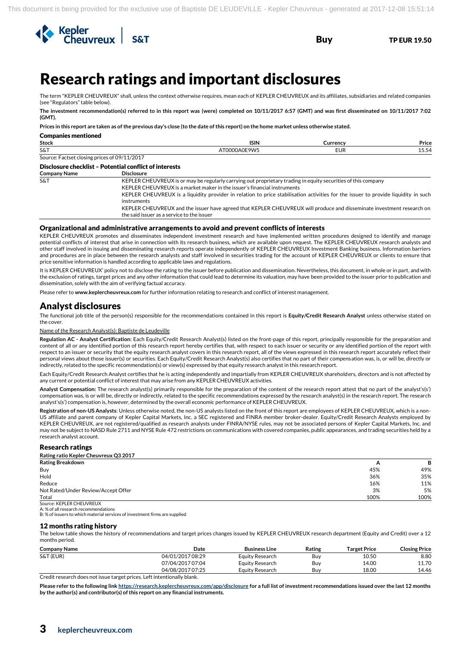

# <sup>3</sup>Research ratings and important disclosures

The term "KEPLER CHEUVREUX" shall, unless the context otherwise requires, mean each of KEPLER CHEUVREUX and its affiliates, subsidiaries and related companies (see "Regulators" table below).

**The investment recommendation(s) referred to in this report was (were) completed on 10/11/2017 6:57 (GMT) and was first disseminated on 10/11/2017 7:02 (GMT).**

**Prices in this report are taken as of the previous day's close (to the date of this report) on the home market unless otherwise stated.**

| <b>Companies mentioned</b>                   |                                                                                                                                                                                           |            |       |
|----------------------------------------------|-------------------------------------------------------------------------------------------------------------------------------------------------------------------------------------------|------------|-------|
| <b>Stock</b>                                 | <b>ISIN</b>                                                                                                                                                                               | Currency   | Price |
| S&T                                          | AT0000A0E9W5                                                                                                                                                                              | <b>EUR</b> | 15.54 |
| Source: Factset closing prices of 09/11/2017 |                                                                                                                                                                                           |            |       |
|                                              | Disclosure checklist - Potential conflict of interests                                                                                                                                    |            |       |
| <b>Company Name</b>                          | <b>Disclosure</b>                                                                                                                                                                         |            |       |
| <b>S&amp;T</b>                               | KEPLER CHEUVREUX is or may be regularly carrying out proprietary trading in equity securities of this company<br>KEPLER CHEUVREUX is a market maker in the issuer's financial instruments |            |       |
|                                              | KEPLER CHEUVREUX is a liquidity provider in relation to price stabilisation activities for the issuer to provide liquidity in such<br>instruments                                         |            |       |
|                                              | KEPLER CHEUVREUX and the issuer have agreed that KEPLER CHEUVREUX will produce and disseminate investment research on<br>the said issuer as a service to the issuer                       |            |       |

#### Organizational and administrative arrangements to avoid and prevent conflicts of interests

KEPLER CHEUVREUX promotes and disseminates independent investment research and have implemented written procedures designed to identify and manage potential conflicts of interest that arise in connection with its research business, which are available upon request. The KEPLER CHEUVREUX research analysts and other staff involved in issuing and disseminating research reports operate independently of KEPLER CHEUVREUX Investment Banking business. Information barriers and procedures are in place between the research analysts and staff involved in securities trading for the account of KEPLER CHEUVREUX or clients to ensure that price sensitive information is handled according to applicable laws and regulations.

It is KEPLER CHEUVREUX' policy not to disclose the rating to the issuer before publication and dissemination. Nevertheless, this document, in whole or in part, and with the exclusion of ratings, target prices and any other information that could lead to determine its valuation, may have been provided to the issuer prior to publication and dissemination, solely with the aim of verifying factual accuracy.

Please refer to **www.keplercheuvreux.com** for further information relating to research and conflict of interest management.

### Analyst disclosures

The functional job title of the person(s) responsible for the recommendations contained in this report is **Equity/Credit Research Analyst** unless otherwise stated on the cover.

#### Name of the Research Analyst(s): Baptiste de Leudeville

**Regulation AC - Analyst Certification:** Each Equity/Credit Research Analyst(s) listed on the front-page of this report, principally responsible for the preparation and content of all or any identified portion of this research report hereby certifies that, with respect to each issuer or security or any identified portion of the report with respect to an issuer or security that the equity research analyst covers in this research report, all of the views expressed in this research report accurately reflect their personal views about those issuer(s) or securities. Each Equity/Credit Research Analyst(s) also certifies that no part of their compensation was, is, or will be, directly or indirectly, related to the specific recommendation(s) or view(s) expressed by that equity research analyst in this research report.

Each Equity/Credit Research Analyst certifies that he is acting independently and impartially from KEPLER CHEUVREUX shareholders, directors and is not affected by any current or potential conflict of interest that may arise from any KEPLER CHEUVREUX activities.

**Analyst Compensation:** The research analyst(s) primarily responsible for the preparation of the content of the research report attest that no part of the analyst's(s') compensation was, is or will be, directly or indirectly, related to the specific recommendations expressed by the research analyst(s) in the research report. The research analyst's(s') compensation is, however, determined by the overall economic performance of KEPLER CHEUVREUX.

**Registration of non-US Analysts**: Unless otherwise noted, the non-US analysts listed on the front of this report are employees of KEPLER CHEUVREUX, which is a non-US affiliate and parent company of Kepler Capital Markets, Inc. a SEC registered and FINRA member broker-dealer. Equity/Credit Research Analysts employed by KEPLER CHEUVREUX, are not registered/qualified as research analysts under FINRA/NYSE rules, may not be associated persons of Kepler Capital Markets, Inc. and may not be subject to NASD Rule 2711 and NYSE Rule 472 restrictions on communications with covered companies, public appearances, and trading securities held by a research analyst account.

#### Research ratings

| Rating ratio Kepler Cheuvreux Q3 2017 |      |      |
|---------------------------------------|------|------|
| <b>Rating Breakdown</b>               | A    | В    |
| Buy                                   | 45%  | 49%  |
| Hold                                  | 36%  | 35%  |
| Reduce                                | 16%  | 11%  |
| Not Rated/Under Review/Accept Offer   | 3%   | 5%   |
| Total                                 | 100% | 100% |
| Source: KEPLER CHEUVREUX              |      |      |

A: % of all research recommendations

B: % of issuers to which material services of investment firms are supplied

#### 12 months rating history

The below table shows the history of recommendations and target prices changes issued by KEPLER CHEUVREUX research department (Equity and Credit) over a 12 months period.

| <b>Company Name</b> | Date             | <b>Business Line</b> | Rating | <b>Target Price</b> | <b>Closing Price</b> |
|---------------------|------------------|----------------------|--------|---------------------|----------------------|
| S&T (EUR)           | 04/01/2017 08:29 | Equity Research      | Buv    | 10.50               | 8.80                 |
|                     | 07/04/2017 07:04 | Equity Research      | Buv    | 14.00               | 11.70                |
|                     | 04/08/2017 07:25 | Equity Research      | Buv    | 18.00               | 14.46                |
|                     | .                |                      |        |                     |                      |

Credit research does not issue target prices. Left intentionally blank.

**Please refer to the following lin[k https://research.keplercheuvreux.com/app/disclosure](https://research.keplercheuvreux.com/app/disclosure/stock/8466) for a full list of investment recommendations issued over the last 12 months by the author(s) and contributor(s) of this report on any financial instruments.**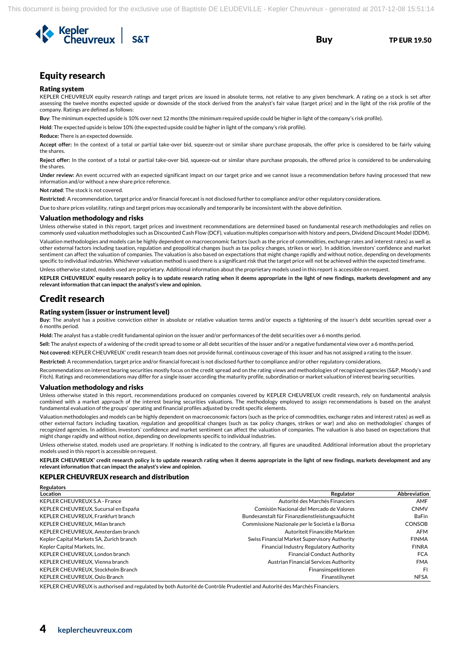

# Equity research

#### Rating system

KEPLER CHEUVREUX equity research ratings and target prices are issued in absolute terms, not relative to any given benchmark. A rating on a stock is set after assessing the twelve months expected upside or downside of the stock derived from the analyst's fair value (target price) and in the light of the risk profile of the company. Ratings are defined as follows:

**Buy**: The minimum expected upside is 10% over next 12 months (the minimum required upside could be higher in light of the company's risk profile).

**Hold**: The expected upside is below 10% (the expected upside could be higher in light of the company's risk profile).

#### **Reduce:** There is an expected downside.

**Accept offer:** In the context of a total or partial take-over bid, squeeze-out or similar share purchase proposals, the offer price is considered to be fairly valuing the shares.

**Reject offer:** In the context of a total or partial take-over bid, squeeze-out or similar share purchase proposals, the offered price is considered to be undervaluing the shares.

**Under review:** An event occurred with an expected significant impact on our target price and we cannot issue a recommendation before having processed that new information and/or without a new share price reference.

**Not rated**: The stock is not covered.

**Restricted**: A recommendation, target price and/or financial forecast is not disclosed further to compliance and/or other regulatory considerations.

Due to share prices volatility, ratings and target prices may occasionally and temporarily be inconsistent with the above definition.

#### Valuation methodology and risks

Unless otherwise stated in this report, target prices and investment recommendations are determined based on fundamental research methodologies and relies on commonly used valuation methodologies such as Discounted Cash Flow (DCF), valuation multiples comparison with history and peers, Dividend Discount Model (DDM). Valuation methodologies and models can be highly dependent on macroeconomic factors (such as the price of commodities, exchange rates and interest rates) as well as

other external factors including taxation, regulation and geopolitical changes (such as tax policy changes, strikes or war). In addition, investors' confidence and market sentiment can affect the valuation of companies. The valuation is also based on expectations that might change rapidly and without notice, depending on developments specific to individual industries. Whichever valuation method is used there is a significant risk that the target price will not be achieved within the expected timeframe.

Unless otherwise stated, models used are proprietary. Additional information about the proprietary models used in this report is accessible on request.

**KEPLER CHEUVREUX' equity research policy is to update research rating when it deems appropriate in the light of new findings, markets development and any relevant information that can impact the analyst's view and opinion.**

### Credit research

**Regulators** 

#### Rating system (issuer or instrument level)

**Buy:** The analyst has a positive conviction either in absolute or relative valuation terms and/or expects a tightening of the issuer's debt securities spread over a 6 months period.

**Hold:** The analyst has a stable credit fundamental opinion on the issuer and/or performances of the debt securities over a 6 months period.

**Sell:** The analyst expects of a widening of the credit spread to some or all debt securities of the issuer and/or a negative fundamental view over a 6 months period.

**Not covered:** KEPLER CHEUVREUX' credit research team does not provide formal, continuous coverage of this issuer and has not assigned a rating to the issuer.

**Restricted:** A recommendation, target price and/or financial forecast is not disclosed further to compliance and/or other regulatory considerations.

Recommendations on interest bearing securities mostly focus on the credit spread and on the rating views and methodologies of recognized agencies (S&P, Moody's and Fitch). Ratings and recommendations may differ for a single issuer according the maturity profile, subordination or market valuation of interest bearing securities.

#### Valuation methodology and risks

Unless otherwise stated in this report, recommendations produced on companies covered by KEPLER CHEUVREUX credit research, rely on fundamental analysis combined with a market approach of the interest bearing securities valuations. The methodology employed to assign recommendations is based on the analyst fundamental evaluation of the groups' operating and financial profiles adjusted by credit specific elements.

Valuation methodologies and models can be highly dependent on macroeconomic factors (such as the price of commodities, exchange rates and interest rates) as well as other external factors including taxation, regulation and geopolitical changes (such as tax policy changes, strikes or war) and also on methodologies' changes of recognized agencies. In addition, investors' confidence and market sentiment can affect the valuation of companies. The valuation is also based on expectations that might change rapidly and without notice, depending on developments specific to individual industries.

Unless otherwise stated, models used are proprietary. If nothing is indicated to the contrary, all figures are unaudited. Additional information about the proprietary models used in this report is accessible on request.

**KEPLER CHEUVREUX' credit research policy is to update research rating when it deems appropriate in the light of new findings, markets development and any relevant information that can impact the analyst's view and opinion.** 

#### KEPLER CHEUVREUX research and distribution

| <b>REGUIDIUS</b>                         |                                                 |                     |
|------------------------------------------|-------------------------------------------------|---------------------|
| Location                                 | Regulator                                       | <b>Abbreviation</b> |
| <b>KEPLER CHEUVREUX S.A - France</b>     | Autorité des Marchés Financiers                 | AMF                 |
| KEPLER CHEUVREUX, Sucursal en España     | Comisión Nacional del Mercado de Valores        | <b>CNMV</b>         |
| KEPLER CHEUVREUX, Frankfurt branch       | Bundesanstalt für Finanzdienstleistungsaufsicht | <b>BaFin</b>        |
| KEPLER CHEUVREUX. Milan branch           | Commissione Nazionale per le Società e la Borsa | <b>CONSOB</b>       |
| KEPLER CHEUVREUX, Amsterdam branch       | Autoriteit Financiële Markten                   | <b>AFM</b>          |
| Kepler Capital Markets SA, Zurich branch | Swiss Financial Market Supervisory Authority    | <b>FINMA</b>        |
| Kepler Capital Markets, Inc.             | Financial Industry Regulatory Authority         | <b>FINRA</b>        |
| KEPLER CHEUVREUX, London branch          | <b>Financial Conduct Authority</b>              | <b>FCA</b>          |
| KEPLER CHEUVREUX, Vienna branch          | Austrian Financial Services Authority           | <b>FMA</b>          |
| KEPLER CHEUVREUX, Stockholm Branch       | Finansinspektionen                              | <b>FI</b>           |
| KEPLER CHEUVREUX, Oslo Branch            | Finanstilsynet                                  | <b>NFSA</b>         |

KEPLER CHEUVREUX is authorised and regulated by both Autorité de Contrôle Prudentiel and Autorité des Marchés Financiers.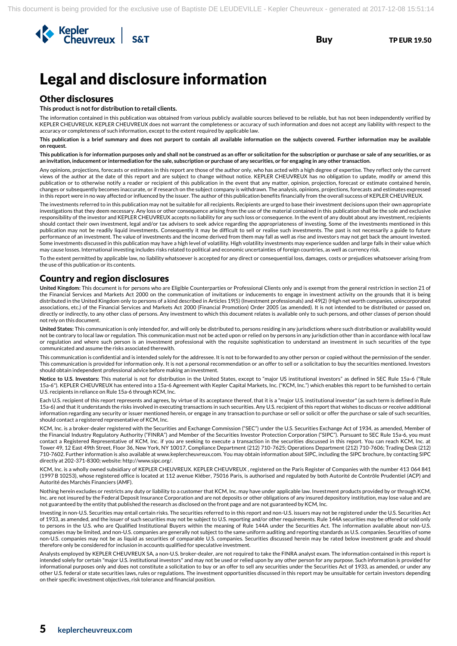

# Legal and disclosure information

# Other disclosures

**This product is not for distribution to retail clients.**

The information contained in this publication was obtained from various publicly available sources believed to be reliable, but has not been independently verified by KEPLER CHEUVREUX. KEPLER CHEUVREUX does not warrant the completeness or accuracy of such information and does not accept any liability with respect to the accuracy or completeness of such information, except to the extent required by applicable law.

**This publication is a brief summary and does not purport to contain all available information on the subjects covered. Further information may be available on request.**

**This publication is for information purposes only and shall not be construed as an offer or solicitation for the subscription or purchase or sale of any securities, or as an invitation, inducement or intermediation for the sale, subscription or purchase of any securities, or for engaging in any other transaction.**

Any opinions, projections, forecasts or estimates in this report are those of the author only, who has acted with a high degree of expertise. They reflect only the current views of the author at the date of this report and are subject to change without notice. KEPLER CHEUVREUX has no obligation to update, modify or amend this publication or to otherwise notify a reader or recipient of this publication in the event that any matter, opinion, projection, forecast or estimate contained herein, changes or subsequently becomes inaccurate, or if research on the subject company is withdrawn. The analysis, opinions, projections, forecasts and estimates expressed in this report were in no way affected or influenced by the issuer. The author of this publication benefits financially from the overall success of KEPLER CHEUVREUX.

The investments referred to in this publication may not be suitable for all recipients. Recipients are urged to base their investment decisions upon their own appropriate investigations that they deem necessary. Any loss or other consequence arising from the use of the material contained in this publication shall be the sole and exclusive responsibility of the investor and KEPLER CHEUVREUX accepts no liability for any such loss or consequence. In the event of any doubt about any investment, recipients should contact their own investment, legal and/or tax advisers to seek advice regarding the appropriateness of investing. Some of the investments mentioned in this publication may not be readily liquid investments. Consequently it may be difficult to sell or realise such investments. The past is not necessarily a guide to future performance of an investment. The value of investments and the income derived from them may fall as well as rise and investors may not get back the amount invested. Some investments discussed in this publication may have a high level of volatility. High volatility investments may experience sudden and large falls in their value which may cause losses. International investing includes risks related to political and economic uncertainties of foreign countries, as well as currency risk.

To the extent permitted by applicable law, no liability whatsoever is accepted for any direct or consequential loss, damages, costs or prejudices whatsoever arising from the use of this publication or its contents.

### Country and region disclosures

**United Kingdom:** This document is for persons who are Eligible Counterparties or Professional Clients only and is exempt from the general restriction in section 21 of the Financial Services and Markets Act 2000 on the communication of invitations or inducements to engage in investment activity on the grounds that it is being distributed in the United Kingdom only to persons of a kind described in Articles 19(5) (Investment professionals) and 49(2) (High net worth companies, unincorporated associations, etc.) of the Financial Services and Markets Act 2000 (Financial Promotion) Order 2005 (as amended). It is not intended to be distributed or passed on, directly or indirectly, to any other class of persons. Any investment to which this document relates is available only to such persons, and other classes of person should not rely on this document.

**United States:** This communication is only intended for, and will only be distributed to, persons residing in any jurisdictions where such distribution or availability would not be contrary to local law or regulation. This communication must not be acted upon or relied on by persons in any jurisdiction other than in accordance with local law or regulation and where such person is an investment professional with the requisite sophistication to understand an investment in such securities of the type communicated and assume the risks associated therewith.

This communication is confidential and is intended solely for the addressee. It is not to be forwarded to any other person or copied without the permission of the sender. This communication is provided for information only. It is not a personal recommendation or an offer to sell or a solicitation to buy the securities mentioned. Investors should obtain independent professional advice before making an investment.

**Notice to U.S. Investors:** This material is not for distribution in the United States, except to "major US institutional investors" as defined in SEC Rule 15a-6 ("Rule 15a-6"). KEPLER CHEUVREUX has entered into a 15a-6 Agreement with Kepler Capital Markets, Inc. ("KCM, Inc.") which enables this report to be furnished to certain U.S. recipients in reliance on Rule 15a-6 through KCM, Inc.

Each U.S. recipient of this report represents and agrees, by virtue of its acceptance thereof, that it is a "major U.S. institutional investor" (as such term is defined in Rule 15a-6) and that it understands the risks involved in executing transactions in such securities. Any U.S. recipient of this report that wishes to discuss or receive additional information regarding any security or issuer mentioned herein, or engage in any transaction to purchase or sell or solicit or offer the purchase or sale of such securities, should contact a registered representative of KCM, Inc.

KCM, Inc. is a broker-dealer registered with the Securities and Exchange Commission ("SEC") under the U.S. Securities Exchange Act of 1934, as amended, Member of the Financial Industry Regulatory Authority ("FINRA") and Member of the Securities Investor Protection Corporation ("SIPC"). Pursuant to SEC Rule 15a-6, you must contact a Registered Representative of KCM, Inc. if you are seeking to execute a transaction in the securities discussed in this report. You can reach KCM, Inc. at Tower 49, 12 East 49th Street, Floor 36, New York, NY 10017, Compliance Department (212) 710-7625; Operations Department (212) 710-7606; Trading Desk (212) 710-7602. Further information is also available at www.keplercheuvreux.com. You may obtain information about SIPC, including the SIPC brochure, by contacting SIPC directly at 202-371-8300; website: http://www.sipc.org/.

KCM, Inc. is a wholly owned subsidiary of KEPLER CHEUVREUX. KEPLER CHEUVREUX , registered on the Paris Register of Companies with the number 413 064 841 (1997 B 10253), whose registered office is located at 112 avenue Kléber, 75016 Paris, is authorised and regulated by both Autorité de Contrôle Prudentiel (ACP) and Autorité des Marchés Financiers (AMF).

Nothing herein excludes or restricts any duty or liability to a customer that KCM, Inc. may have under applicable law. Investment products provided by or through KCM, Inc. are not insured by the Federal Deposit Insurance Corporation and are not deposits or other obligations of any insured depository institution, may lose value and are not guaranteed by the entity that published the research as disclosed on the front page and are not guaranteed by KCM, Inc.

Investing in non-U.S. Securities may entail certain risks. The securities referred to in this report and non-U.S. issuers may not be registered under the U.S. Securities Act of 1933, as amended, and the issuer of such securities may not be subject to U.S. reporting and/or other requirements. Rule 144A securities may be offered or sold only to persons in the U.S. who are Qualified Institutional Buyers within the meaning of Rule 144A under the Securities Act. The information available about non-U.S. companies may be limited, and non-U.S. companies are generally not subject to the same uniform auditing and reporting standards as U.S. companies. Securities of some non-U.S. companies may not be as liquid as securities of comparable U.S. companies. Securities discussed herein may be rated below investment grade and should therefore only be considered for inclusion in accounts qualified for speculative investment.

Analysts employed by KEPLER CHEUVREUX SA, a non-U.S. broker-dealer, are not required to take the FINRA analyst exam. The information contained in this report is intended solely for certain "major U.S. institutional investors" and may not be used or relied upon by any other person for any purpose. Such information is provided for informational purposes only and does not constitute a solicitation to buy or an offer to sell any securities under the Securities Act of 1933, as amended, or under any other U.S. federal or state securities laws, rules or regulations. The investment opportunities discussed in this report may be unsuitable for certain investors depending on their specific investment objectives, risk tolerance and financial position.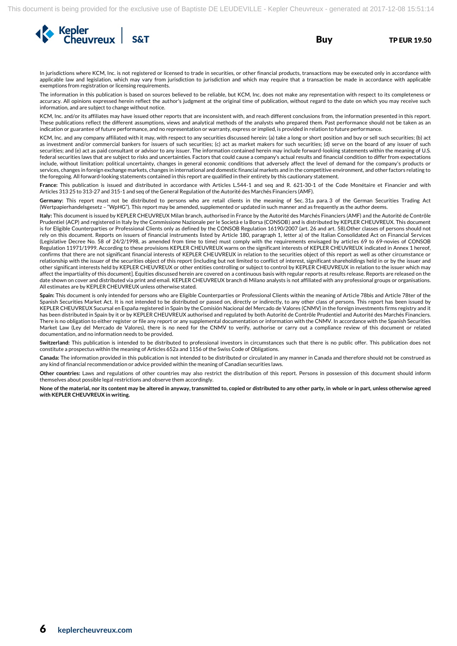

In jurisdictions where KCM, Inc. is not registered or licensed to trade in securities, or other financial products, transactions may be executed only in accordance with applicable law and legislation, which may vary from jurisdiction to jurisdiction and which may require that a transaction be made in accordance with applicable exemptions from registration or licensing requirements.

The information in this publication is based on sources believed to be reliable, but KCM, Inc. does not make any representation with respect to its completeness or accuracy. All opinions expressed herein reflect the author's judgment at the original time of publication, without regard to the date on which you may receive such information, and are subject to change without notice.

KCM, Inc. and/or its affiliates may have issued other reports that are inconsistent with, and reach different conclusions from, the information presented in this report. These publications reflect the different assumptions, views and analytical methods of the analysts who prepared them. Past performance should not be taken as an indication or guarantee of future performance, and no representation or warranty, express or implied, is provided in relation to future performance.

KCM, Inc. and any company affiliated with it may, with respect to any securities discussed herein: (a) take a long or short position and buy or sell such securities; (b) act as investment and/or commercial bankers for issuers of such securities; (c) act as market makers for such securities; (d) serve on the board of any issuer of such securities; and (e) act as paid consultant or advisor to any issuer. The information contained herein may include forward-looking statements within the meaning of U.S. federal securities laws that are subject to risks and uncertainties. Factors that could cause a company's actual results and financial condition to differ from expectations include, without limitation: political uncertainty, changes in general economic conditions that adversely affect the level of demand for the company's products or services, changes in foreign exchange markets, changes in international and domestic financial markets and in the competitive environment, and other factors relating to the foregoing. All forward-looking statements contained in this report are qualified in their entirety by this cautionary statement.

**France:** This publication is issued and distributed in accordance with Articles L.544-1 and seq and R. 621-30-1 of the Code Monétaire et Financier and with Articles 313 25 to 313-27 and 315-1 and seq of the General Regulation of the Autorité des Marchés Financiers (AMF).

**Germany:** This report must not be distributed to persons who are retail clients in the meaning of Sec. 31a para. 3 of the German Securities Trading Act (Wertpapierhandelsgesetz – "WpHG"). This report may be amended, supplemented or updated in such manner and as frequently as the author deems.

**Italy:** This document is issued by KEPLER CHEUVREUX Milan branch, authorised in France by the Autorité des Marchés Financiers (AMF) and the Autorité de Contrôle Prudentiel (ACP) and registered in Italy by the Commissione Nazionale per le Società e la Borsa (CONSOB) and is distributed by KEPLER CHEUVREUX. This document is for Eligible Counterparties or Professional Clients only as defined by the CONSOB Regulation 16190/2007 (art. 26 and art. 58).Other classes of persons should not rely on this document. Reports on issuers of financial instruments listed by Article 180, paragraph 1, letter a) of the Italian Consolidated Act on Financial Services (Legislative Decree No. 58 of 24/2/1998, as amended from time to time) must comply with the requirements envisaged by articles 69 to 69-novies of CONSOB Regulation 11971/1999. According to these provisions KEPLER CHEUVREUX warns on the significant interests of KEPLER CHEUVREUX indicated in Annex 1 hereof, confirms that there are not significant financial interests of KEPLER CHEUVREUX in relation to the securities object of this report as well as other circumstance or relationship with the issuer of the securities object of this report (including but not limited to conflict of interest, significant shareholdings held in or by the issuer and other significant interests held by KEPLER CHEUVREUX or other entities controlling or subject to control by KEPLER CHEUVREUX in relation to the issuer which may affect the impartiality of this document]. Equities discussed herein are covered on a continuous basis with regular reports at results release. Reports are released on the date shown on cover and distributed via print and email. KEPLER CHEUVREUX branch di Milano analysts is not affiliated with any professional groups or organisations. All estimates are by KEPLER CHEUVREUX unless otherwise stated.

**Spain:** This document is only intended for persons who are Eligible Counterparties or Professional Clients within the meaning of Article 78bis and Article 78ter of the Spanish Securities Market Act. It is not intended to be distributed or passed on, directly or indirectly, to any other class of persons. This report has been issued by KEPLER CHEUVREUX Sucursal en España registered in Spain by the Comisión Nacional del Mercado de Valores (CNMV) in the foreign investments firms registry and it has been distributed in Spain by it or by KEPLER CHEUVREUX authorised and regulated by both Autorité de Contrôle Prudentiel and Autorité des Marchés Financiers. There is no obligation to either register or file any report or any supplemental documentation or information with the CNMV. In accordance with the Spanish Securities Market Law (Ley del Mercado de Valores), there is no need for the CNMV to verify, authorise or carry out a compliance review of this document or related documentation, and no information needs to be provided.

**Switzerland:** This publication is intended to be distributed to professional investors in circumstances such that there is no public offer. This publication does not constitute a prospectus within the meaning of Articles 652a and 1156 of the Swiss Code of Obligations.

**Canada:** The information provided in this publication is not intended to be distributed or circulated in any manner in Canada and therefore should not be construed as any kind of financial recommendation or advice provided within the meaning of Canadian securities laws.

**Other countries:** Laws and regulations of other countries may also restrict the distribution of this report. Persons in possession of this document should inform themselves about possible legal restrictions and observe them accordingly.

**None of the material, nor its content may be altered in anyway, transmitted to, copied or distributed to any other party, in whole or in part, unless otherwise agreed with KEPLER CHEUVREUX in writing.**